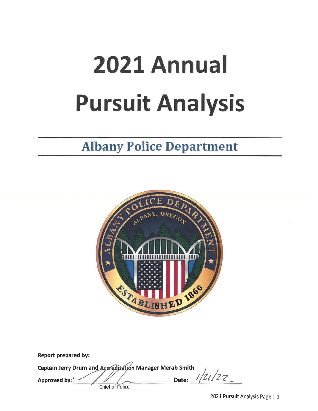# 2021 Annual **Pursuit Analysis**

# **Albany Police Department**



| <b>Report prepared by:</b>                                                                         |       |  |
|----------------------------------------------------------------------------------------------------|-------|--|
| Captain Jerry Drum and Accreditation Manager Merab Smith<br>Approved by:<br><b>Chief of Police</b> | Date: |  |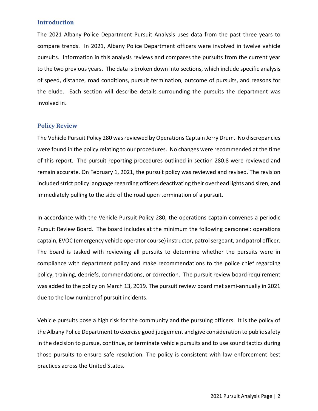#### **Introduction**

The 2021 Albany Police Department Pursuit Analysis uses data from the past three years to compare trends. In 2021, Albany Police Department officers were involved in twelve vehicle pursuits. Information in this analysis reviews and compares the pursuits from the current year to the two previous years. The data is broken down into sections, which include specific analysis of speed, distance, road conditions, pursuit termination, outcome of pursuits, and reasons for the elude. Each section will describe details surrounding the pursuits the department was involved in.

#### **Policy Review**

The Vehicle Pursuit Policy 280 was reviewed by Operations Captain Jerry Drum. No discrepancies were found in the policy relating to our procedures. No changes were recommended at the time of this report. The pursuit reporting procedures outlined in section 280.8 were reviewed and remain accurate. On February 1, 2021, the pursuit policy was reviewed and revised. The revision included strict policy language regarding officers deactivating their overhead lights and siren, and immediately pulling to the side of the road upon termination of a pursuit.

In accordance with the Vehicle Pursuit Policy 280, the operations captain convenes a periodic Pursuit Review Board. The board includes at the minimum the following personnel: operations captain, EVOC (emergency vehicle operator course) instructor, patrol sergeant, and patrol officer. The board is tasked with reviewing all pursuits to determine whether the pursuits were in compliance with department policy and make recommendations to the police chief regarding policy, training, debriefs, commendations, or correction. The pursuit review board requirement was added to the policy on March 13, 2019. The pursuit review board met semi-annually in 2021 due to the low number of pursuit incidents.

Vehicle pursuits pose a high risk for the community and the pursuing officers. It is the policy of the Albany Police Department to exercise good judgement and give consideration to public safety in the decision to pursue, continue, or terminate vehicle pursuits and to use sound tactics during those pursuits to ensure safe resolution. The policy is consistent with law enforcement best practices across the United States.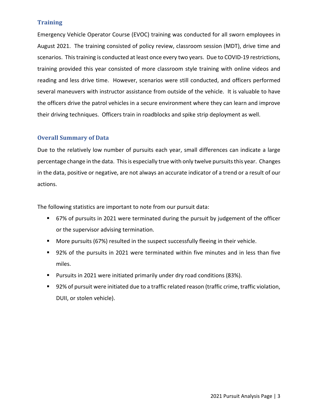### **Training**

Emergency Vehicle Operator Course (EVOC) training was conducted for all sworn employees in August 2021. The training consisted of policy review, classroom session (MDT), drive time and scenarios. This training is conducted at least once every two years. Due to COVID-19 restrictions, training provided this year consisted of more classroom style training with online videos and reading and less drive time. However, scenarios were still conducted, and officers performed several maneuvers with instructor assistance from outside of the vehicle. It is valuable to have the officers drive the patrol vehicles in a secure environment where they can learn and improve their driving techniques. Officers train in roadblocks and spike strip deployment as well.

### **Overall Summary of Data**

Due to the relatively low number of pursuits each year, small differences can indicate a large percentage change in the data. This is especially true with only twelve pursuits this year. Changes in the data, positive or negative, are not always an accurate indicator of a trend or a result of our actions.

The following statistics are important to note from our pursuit data:

- 67% of pursuits in 2021 were terminated during the pursuit by judgement of the officer or the supervisor advising termination.
- More pursuits (67%) resulted in the suspect successfully fleeing in their vehicle.
- 92% of the pursuits in 2021 were terminated within five minutes and in less than five miles.
- Pursuits in 2021 were initiated primarily under dry road conditions (83%).
- 92% of pursuit were initiated due to a traffic related reason (traffic crime, traffic violation, DUII, or stolen vehicle).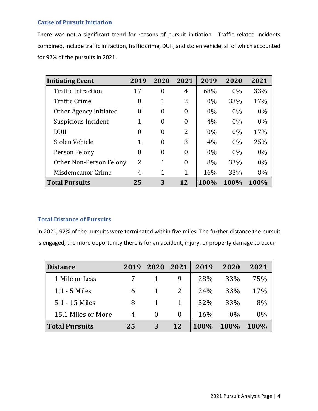# **Cause of Pursuit Initiation**

There was not a significant trend for reasons of pursuit initiation. Traffic related incidents combined, include traffic infraction, traffic crime, DUII, and stolen vehicle, all of which accounted for 92% of the pursuits in 2021.

| <b>Initiating Event</b>   | 2019           | 2020           | 2021     | 2019  | 2020  | 2021  |
|---------------------------|----------------|----------------|----------|-------|-------|-------|
| <b>Traffic Infraction</b> | 17             | 0              | 4        | 68%   | 0%    | 33%   |
| <b>Traffic Crime</b>      | $\theta$       | 1              | 2        | $0\%$ | 33%   | 17%   |
| Other Agency Initiated    | $\theta$       | $\theta$       | $\theta$ | $0\%$ | 0%    | $0\%$ |
| Suspicious Incident       | 1              | $\overline{0}$ | $\theta$ | 4%    | $0\%$ | $0\%$ |
| <b>DUII</b>               | $\Omega$       | 0              | 2        | $0\%$ | 0%    | 17%   |
| Stolen Vehicle            | 1              | $\theta$       | 3        | 4%    | 0%    | 25%   |
| Person Felony             | 0              | $\theta$       | $\theta$ | $0\%$ | 0%    | $0\%$ |
| Other Non-Person Felony   | $\overline{2}$ | 1              | $\theta$ | 8%    | 33%   | $0\%$ |
| Misdemeanor Crime         | 4              | 1              | 1        | 16%   | 33%   | 8%    |
| <b>Total Pursuits</b>     | 25             | 3              | 12       | 100%  | 100%  | 100%  |

# **Total Distance of Pursuits**

In 2021, 92% of the pursuits were terminated within five miles. The further distance the pursuit is engaged, the more opportunity there is for an accident, injury, or property damage to occur.

| <b>Distance</b>       | 2019 | 2020     | 2021 | 2019 | 2020  | 2021  |
|-----------------------|------|----------|------|------|-------|-------|
| 1 Mile or Less        |      |          |      | 28%  | 33%   | 75%   |
| 1.1 - 5 Miles         | 6    |          |      | 24%  | 33%   | 17%   |
| 5.1 - 15 Miles        | 8    |          |      | 32%  | 33%   | 8%    |
| 15.1 Miles or More    | 4    | $\theta$ |      | 16%  | $0\%$ | $0\%$ |
| <b>Total Pursuits</b> | 25   | 3        | 12   | 100% | 100%  | 100%  |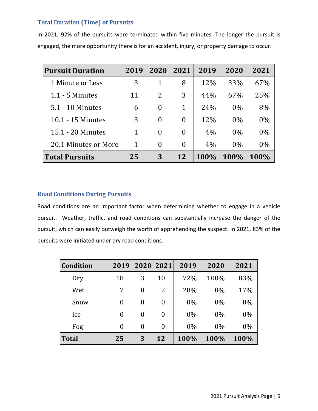# **Total Duration (Time) of Pursuits**

In 2021, 92% of the pursuits were terminated within five minutes. The longer the pursuit is engaged, the more opportunity there is for an accident, injury, or property damage to occur.

| <b>Pursuit Duration</b> | 2019 | 2020     | 2021         | 2019 | 2020  | 2021        |
|-------------------------|------|----------|--------------|------|-------|-------------|
| 1 Minute or Less        | 3    |          | 8            | 12\% | 33%   | 67%         |
| $1.1 - 5$ Minutes       | 11   | 2        | 3            | 44%  | 67%   | 25%         |
| 5.1 - 10 Minutes        | 6    | $\theta$ | $\mathbf{1}$ | 24%  | $0\%$ | 8%          |
| 10.1 - 15 Minutes       | 3    | $\theta$ | $\theta$     | 12%  | $0\%$ | $0\%$       |
| 15.1 - 20 Minutes       | 1    | $\theta$ | $\Omega$     | 4%   | $0\%$ | $0\%$       |
| 20.1 Minutes or More    | 1    | $\theta$ | $\Omega$     | 4%   | $0\%$ | $0\%$       |
| <b>Total Pursuits</b>   | 25   | 3        | 12           | 100% | 100%  | <b>100%</b> |

# **Road Conditions During Pursuits**

Road conditions are an important factor when determining whether to engage in a vehicle pursuit. Weather, traffic, and road conditions can substantially increase the danger of the pursuit, which can easily outweigh the worth of apprehending the suspect. In 2021, 83% of the pursuits were initiated under dry road conditions.

| <b>Condition</b> | 2019     |   | 2020 2021 | 2019  | 2020  | 2021  |
|------------------|----------|---|-----------|-------|-------|-------|
| Dry              | 18       | 3 | 10        | 72%   | 100%  | 83%   |
| Wet              | 7        | 0 | 2         | 28%   | $0\%$ | 17%   |
| Snow             | 0        | 0 | $\theta$  | $0\%$ | $0\%$ | $0\%$ |
| Ice              | 0        | 0 | $\theta$  | 0%    | $0\%$ | $0\%$ |
| Fog              | $\theta$ | 0 | $\theta$  | $0\%$ | $0\%$ | $0\%$ |
| <b>Total</b>     | 25       | 3 | 12        | 100%  | 100%  | 100%  |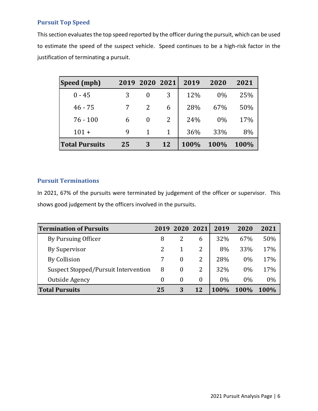# **Pursuit Top Speed**

This section evaluates the top speed reported by the officer during the pursuit, which can be used to estimate the speed of the suspect vehicle. Speed continues to be a high-risk factor in the justification of terminating a pursuit.

| Speed (mph)           |    | 2019 2020 2021 |              | 2019 | 2020  | 2021 |
|-----------------------|----|----------------|--------------|------|-------|------|
| $0 - 45$              | 3  | 0              | 3            | 12%  | $0\%$ | 25%  |
| $46 - 75$             |    | 2              | 6            | 28%  | 67%   | 50%  |
| $76 - 100$            | 6  | $\theta$       | 2            | 24%  | $0\%$ | 17%  |
| $101 +$               | 9  | $\mathbf{1}$   | $\mathbf{1}$ | 36%  | 33%   | 8%   |
| <b>Total Pursuits</b> | 25 | 3              | 12           | 100% | 100%  | 100% |

# **Pursuit Terminations**

In 2021, 67% of the pursuits were terminated by judgement of the officer or supervisor. This shows good judgement by the officers involved in the pursuits.

| <b>Termination of Pursuits</b>       | 2019 | 2020 2021      |          | 2019 | 2020        | 2021  |
|--------------------------------------|------|----------------|----------|------|-------------|-------|
| By Pursuing Officer                  | 8    |                | 6        | 32%  | 67%         | 50%   |
| By Supervisor                        | 2    |                | 2        | 8%   | 33%         | 17%   |
| By Collision                         |      | $\Omega$       | 2        | 28%  | 0%          | 17%   |
| Suspect Stopped/Pursuit Intervention | 8    | $\overline{0}$ | 2        | 32%  | 0%          | 17%   |
| Outside Agency                       | 0    | $\theta$       | $\theta$ | 0%   | $0\%$       | $0\%$ |
| <b>Total Pursuits</b>                | 25   | 3              | 12       | 100% | <b>100%</b> | 100%  |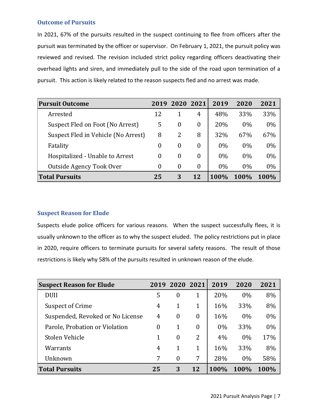#### **Outcome of Pursuits**

In 2021, 67% of the pursuits resulted in the suspect continuing to flee from officers after the pursuit was terminated by the officer or supervisor. On February 1, 2021, the pursuit policy was reviewed and revised. The revision included strict policy regarding officers deactivating their overhead lights and siren, and immediately pull to the side of the road upon termination of a pursuit. This action is likely related to the reason suspects fled and no arrest was made.

| <b>Pursuit Outcome</b>              | 2019     | 2020     | 2021             | 2019  | 2020  | 2021  |
|-------------------------------------|----------|----------|------------------|-------|-------|-------|
| Arrested                            | 12       |          | 4                | 48%   | 33%   | 33%   |
| Suspect Fled on Foot (No Arrest)    | 5        | $\Omega$ | $\theta$         | 20%   | 0%    | $0\%$ |
| Suspect Fled in Vehicle (No Arrest) | 8        | 2        | 8                | 32%   | 67%   | 67%   |
| Fatality                            | $\theta$ | $\theta$ | $\theta$         | $0\%$ | 0%    | 0%    |
| Hospitalized - Unable to Arrest     | $\theta$ | $\theta$ | $\boldsymbol{0}$ | $0\%$ | 0%    | 0%    |
| Outside Agency Took Over            | 0        | $\theta$ | $\overline{0}$   | $0\%$ | $0\%$ | 0%    |
| <b>Total Pursuits</b>               | 25       | 3        | 12               | 100%  | 100%  | 100%  |

### **Suspect Reason for Elude**

Suspects elude police officers for various reasons. When the suspect successfully flees, it is usually unknown to the officer as to why the suspect eluded. The policy restrictions put in place in 2020, require officers to terminate pursuits for several safety reasons. The result of those restrictions is likely why 58% of the pursuits resulted in unknown reason of the elude.

| <b>Suspect Reason for Elude</b>  | 2019 | 2020     | 2021           | 2019  | 2020 | 2021  |
|----------------------------------|------|----------|----------------|-------|------|-------|
| <b>DUII</b>                      | 5    | $\theta$ | 1              | 20%   | 0%   | 8%    |
| <b>Suspect of Crime</b>          | 4    | 1        | 1              | 16%   | 33%  | 8%    |
| Suspended, Revoked or No License | 4    | $\theta$ | $\overline{0}$ | 16%   | 0%   | $0\%$ |
| Parole, Probation or Violation   | 0    | 1        | $\theta$       | $0\%$ | 33%  | $0\%$ |
| Stolen Vehicle                   |      | $\theta$ | $\overline{2}$ | 4%    | 0%   | 17%   |
| Warrants                         | 4    |          | 1              | 16%   | 33%  | 8%    |
| Unknown                          | 7    | $\theta$ | 7              | 28%   | 0%   | 58%   |
| <b>Total Pursuits</b>            | 25   | 3        | 12             | 100%  | 100% | 100%  |